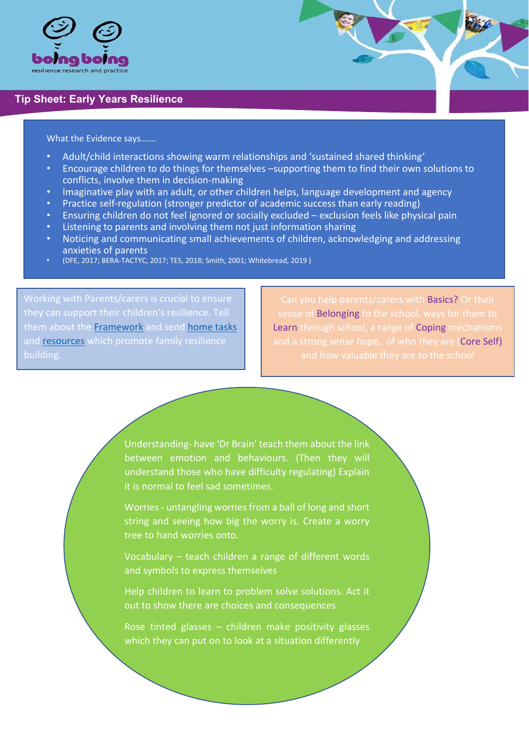

## **Tip Sheet: Early Years Resilience**

## What the Evidence says…….

- Adult/child interactions showing warm relationships and 'sustained shared thinking'
- Encourage children to do things for themselves –supporting them to find their own solutions to conflicts, involve them in decision-making
- Imaginative play with an adult, or other children helps, language development and agency
- Practice self-regulation (stronger predictor of academic success than early reading)
- Ensuring children do not feel ignored or socially excluded exclusion feels like physical pain
- Listening to parents and involving them not just information sharing
- Noticing and communicating small achievements of children, acknowledging and addressing anxieties of parents
- (DFE, 2017; BERA-TACTYC, 2017; TES, 2018; Smith, 2001; Whitebread, 2019 )

them about the **Framework** and send **home tasks** and **resources** which promote family resilience building.

Can you help parents/carers with Basics? Or their sense of Belonging to the school, ways for them to Learn through school, a range of Coping mechanisms and a strong sense hope, of who they are (Core Self)

Understanding- have 'Dr Brain' teach them about the link between emotion and behaviours. (Then they will understand those who have difficulty regulating) Explain it is normal to feel sad sometimes.

Worries - untangling worries from a ball of long and short string and seeing how big the worry is. Create a worry tree to hand worries onto.

Vocabulary – teach children a range of different words and symbols to express themselves

Help children to learn to problem solve solutions. Act it out to show there are choices and consequences

Rose tinted glasses – children make positivity glasses which they can put on to look at a situation differently

j